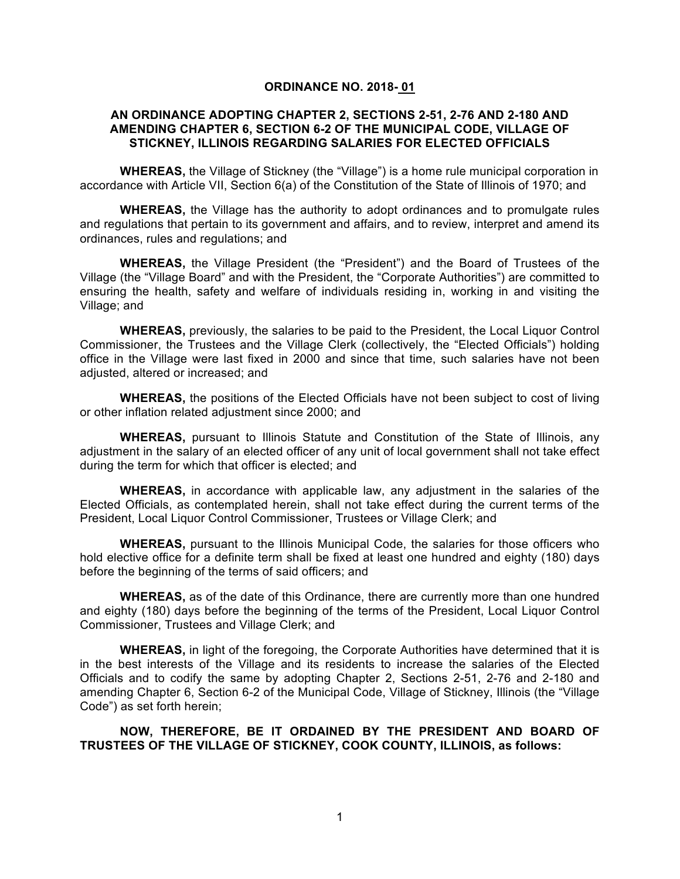#### **ORDINANCE NO. 2018- 01**

### **AN ORDINANCE ADOPTING CHAPTER 2, SECTIONS 2-51, 2-76 AND 2-180 AND AMENDING CHAPTER 6, SECTION 6-2 OF THE MUNICIPAL CODE, VILLAGE OF STICKNEY, ILLINOIS REGARDING SALARIES FOR ELECTED OFFICIALS**

**WHEREAS,** the Village of Stickney (the "Village") is a home rule municipal corporation in accordance with Article VII, Section 6(a) of the Constitution of the State of Illinois of 1970; and

**WHEREAS,** the Village has the authority to adopt ordinances and to promulgate rules and regulations that pertain to its government and affairs, and to review, interpret and amend its ordinances, rules and regulations; and

**WHEREAS,** the Village President (the "President") and the Board of Trustees of the Village (the "Village Board" and with the President, the "Corporate Authorities") are committed to ensuring the health, safety and welfare of individuals residing in, working in and visiting the Village; and

**WHEREAS,** previously, the salaries to be paid to the President, the Local Liquor Control Commissioner, the Trustees and the Village Clerk (collectively, the "Elected Officials") holding office in the Village were last fixed in 2000 and since that time, such salaries have not been adjusted, altered or increased; and

**WHEREAS,** the positions of the Elected Officials have not been subject to cost of living or other inflation related adjustment since 2000; and

**WHEREAS,** pursuant to Illinois Statute and Constitution of the State of Illinois, any adjustment in the salary of an elected officer of any unit of local government shall not take effect during the term for which that officer is elected; and

**WHEREAS,** in accordance with applicable law, any adjustment in the salaries of the Elected Officials, as contemplated herein, shall not take effect during the current terms of the President, Local Liquor Control Commissioner, Trustees or Village Clerk; and

**WHEREAS,** pursuant to the Illinois Municipal Code, the salaries for those officers who hold elective office for a definite term shall be fixed at least one hundred and eighty (180) days before the beginning of the terms of said officers; and

**WHEREAS,** as of the date of this Ordinance, there are currently more than one hundred and eighty (180) days before the beginning of the terms of the President, Local Liquor Control Commissioner, Trustees and Village Clerk; and

**WHEREAS,** in light of the foregoing, the Corporate Authorities have determined that it is in the best interests of the Village and its residents to increase the salaries of the Elected Officials and to codify the same by adopting Chapter 2, Sections 2-51, 2-76 and 2-180 and amending Chapter 6, Section 6-2 of the Municipal Code, Village of Stickney, Illinois (the "Village Code") as set forth herein;

**NOW, THEREFORE, BE IT ORDAINED BY THE PRESIDENT AND BOARD OF TRUSTEES OF THE VILLAGE OF STICKNEY, COOK COUNTY, ILLINOIS, as follows:**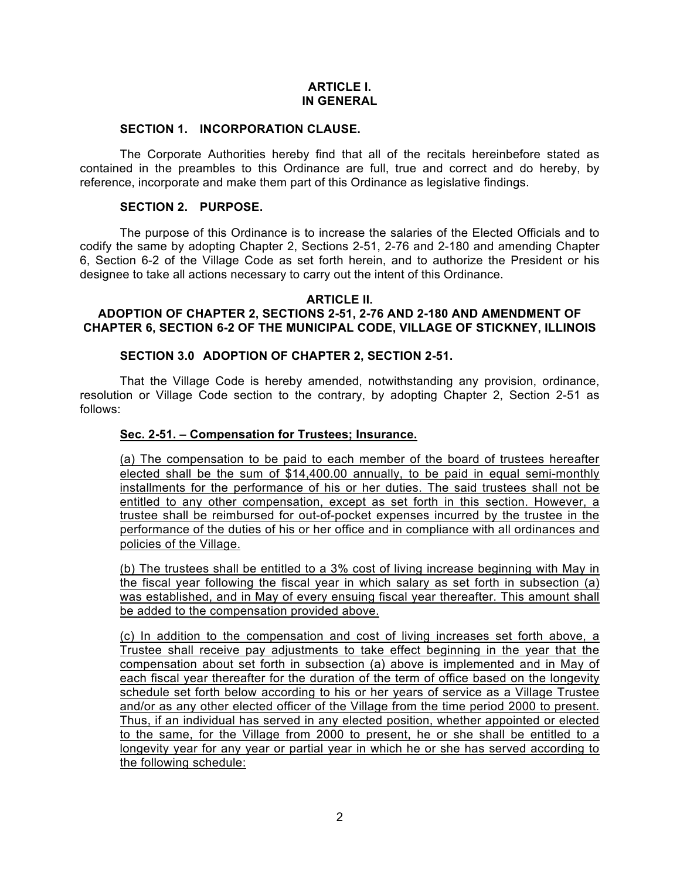## **ARTICLE I. IN GENERAL**

### **SECTION 1. INCORPORATION CLAUSE.**

The Corporate Authorities hereby find that all of the recitals hereinbefore stated as contained in the preambles to this Ordinance are full, true and correct and do hereby, by reference, incorporate and make them part of this Ordinance as legislative findings.

### **SECTION 2. PURPOSE.**

The purpose of this Ordinance is to increase the salaries of the Elected Officials and to codify the same by adopting Chapter 2, Sections 2-51, 2-76 and 2-180 and amending Chapter 6, Section 6-2 of the Village Code as set forth herein, and to authorize the President or his designee to take all actions necessary to carry out the intent of this Ordinance.

### **ARTICLE II.**

## **ADOPTION OF CHAPTER 2, SECTIONS 2-51, 2-76 AND 2-180 AND AMENDMENT OF CHAPTER 6, SECTION 6-2 OF THE MUNICIPAL CODE, VILLAGE OF STICKNEY, ILLINOIS**

#### **SECTION 3.0 ADOPTION OF CHAPTER 2, SECTION 2-51.**

That the Village Code is hereby amended, notwithstanding any provision, ordinance, resolution or Village Code section to the contrary, by adopting Chapter 2, Section 2-51 as follows:

#### **Sec. 2-51. – Compensation for Trustees; Insurance.**

(a) The compensation to be paid to each member of the board of trustees hereafter elected shall be the sum of \$14,400.00 annually, to be paid in equal semi-monthly installments for the performance of his or her duties. The said trustees shall not be entitled to any other compensation, except as set forth in this section. However, a trustee shall be reimbursed for out-of-pocket expenses incurred by the trustee in the performance of the duties of his or her office and in compliance with all ordinances and policies of the Village.

(b) The trustees shall be entitled to a 3% cost of living increase beginning with May in the fiscal year following the fiscal year in which salary as set forth in subsection (a) was established, and in May of every ensuing fiscal year thereafter. This amount shall be added to the compensation provided above.

(c) In addition to the compensation and cost of living increases set forth above, a Trustee shall receive pay adjustments to take effect beginning in the year that the compensation about set forth in subsection (a) above is implemented and in May of each fiscal year thereafter for the duration of the term of office based on the longevity schedule set forth below according to his or her years of service as a Village Trustee and/or as any other elected officer of the Village from the time period 2000 to present. Thus, if an individual has served in any elected position, whether appointed or elected to the same, for the Village from 2000 to present, he or she shall be entitled to a longevity year for any year or partial year in which he or she has served according to the following schedule: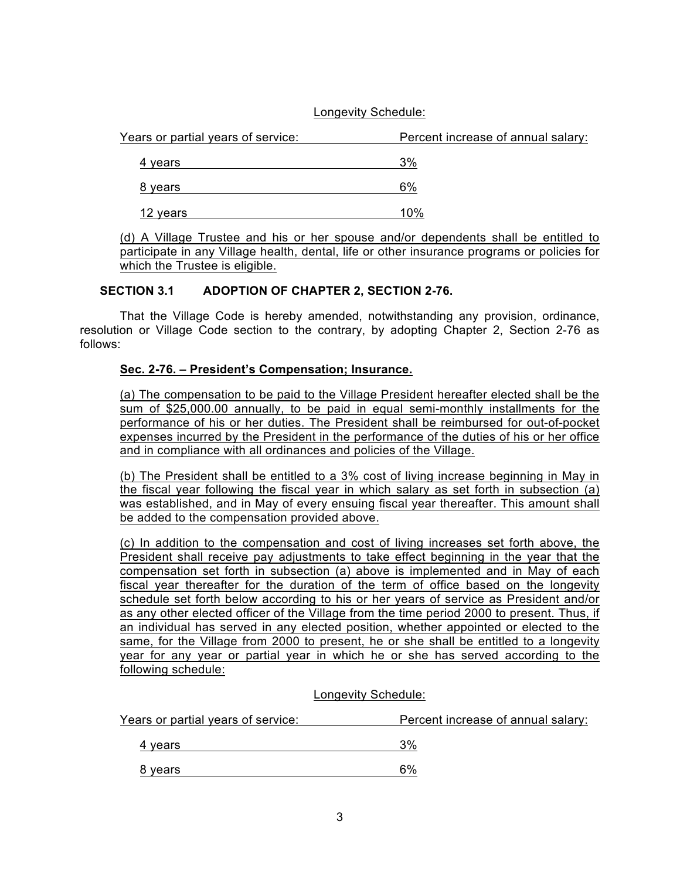## Longevity Schedule:

| Percent increase of annual salary: |
|------------------------------------|
| 3%                                 |
| 6%                                 |
| 10%                                |
|                                    |

(d) A Village Trustee and his or her spouse and/or dependents shall be entitled to participate in any Village health, dental, life or other insurance programs or policies for which the Trustee is eligible.

# **SECTION 3.1 ADOPTION OF CHAPTER 2, SECTION 2-76.**

That the Village Code is hereby amended, notwithstanding any provision, ordinance, resolution or Village Code section to the contrary, by adopting Chapter 2, Section 2-76 as follows:

# **Sec. 2-76. – President's Compensation; Insurance.**

(a) The compensation to be paid to the Village President hereafter elected shall be the sum of \$25,000.00 annually, to be paid in equal semi-monthly installments for the performance of his or her duties. The President shall be reimbursed for out-of-pocket expenses incurred by the President in the performance of the duties of his or her office and in compliance with all ordinances and policies of the Village.

(b) The President shall be entitled to a 3% cost of living increase beginning in May in the fiscal year following the fiscal year in which salary as set forth in subsection (a) was established, and in May of every ensuing fiscal year thereafter. This amount shall be added to the compensation provided above.

(c) In addition to the compensation and cost of living increases set forth above, the President shall receive pay adjustments to take effect beginning in the year that the compensation set forth in subsection (a) above is implemented and in May of each fiscal year thereafter for the duration of the term of office based on the longevity schedule set forth below according to his or her years of service as President and/or as any other elected officer of the Village from the time period 2000 to present. Thus, if an individual has served in any elected position, whether appointed or elected to the same, for the Village from 2000 to present, he or she shall be entitled to a longevity year for any year or partial year in which he or she has served according to the following schedule:

Longevity Schedule:

| Years or partial years of service: | Percent increase of annual salary: |
|------------------------------------|------------------------------------|
| 4 vears                            | 3%                                 |
| 8 vears                            | 6%                                 |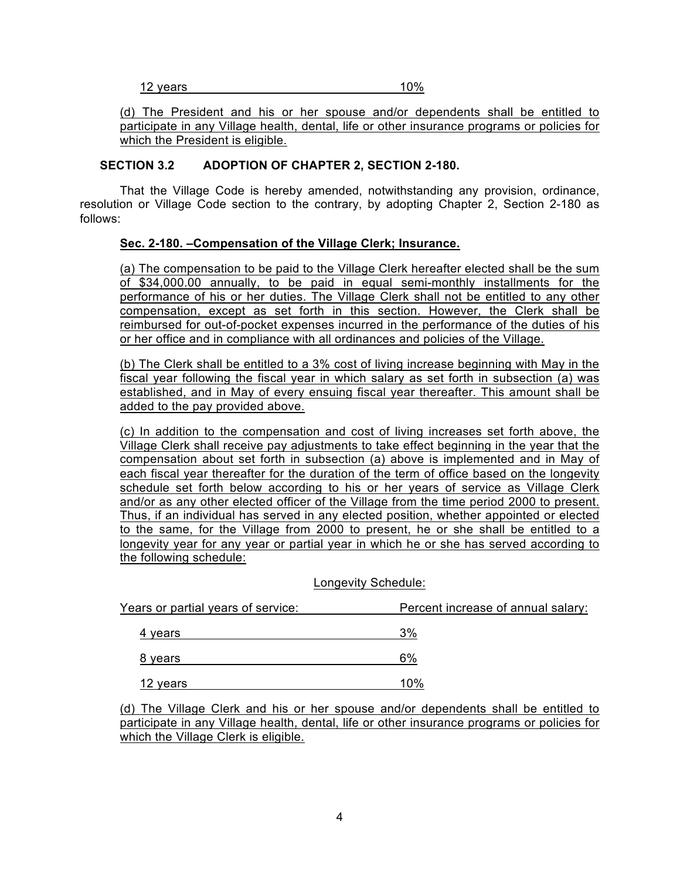| 12 years | 10% |
|----------|-----|
|----------|-----|

(d) The President and his or her spouse and/or dependents shall be entitled to participate in any Village health, dental, life or other insurance programs or policies for which the President is eligible.

## **SECTION 3.2 ADOPTION OF CHAPTER 2, SECTION 2-180.**

That the Village Code is hereby amended, notwithstanding any provision, ordinance, resolution or Village Code section to the contrary, by adopting Chapter 2, Section 2-180 as follows:

### **Sec. 2-180. –Compensation of the Village Clerk; Insurance.**

(a) The compensation to be paid to the Village Clerk hereafter elected shall be the sum of \$34,000.00 annually, to be paid in equal semi-monthly installments for the performance of his or her duties. The Village Clerk shall not be entitled to any other compensation, except as set forth in this section. However, the Clerk shall be reimbursed for out-of-pocket expenses incurred in the performance of the duties of his or her office and in compliance with all ordinances and policies of the Village.

(b) The Clerk shall be entitled to a 3% cost of living increase beginning with May in the fiscal year following the fiscal year in which salary as set forth in subsection (a) was established, and in May of every ensuing fiscal year thereafter. This amount shall be added to the pay provided above.

(c) In addition to the compensation and cost of living increases set forth above, the Village Clerk shall receive pay adjustments to take effect beginning in the year that the compensation about set forth in subsection (a) above is implemented and in May of each fiscal year thereafter for the duration of the term of office based on the longevity schedule set forth below according to his or her years of service as Village Clerk and/or as any other elected officer of the Village from the time period 2000 to present. Thus, if an individual has served in any elected position, whether appointed or elected to the same, for the Village from 2000 to present, he or she shall be entitled to a longevity year for any year or partial year in which he or she has served according to the following schedule:

#### Longevity Schedule:

| Years or partial years of service: | Percent increase of annual salary: |
|------------------------------------|------------------------------------|
| 4 years                            | 3%                                 |
| 8 years                            | 6%                                 |
| 12 years                           | 10%                                |

(d) The Village Clerk and his or her spouse and/or dependents shall be entitled to participate in any Village health, dental, life or other insurance programs or policies for which the Village Clerk is eligible.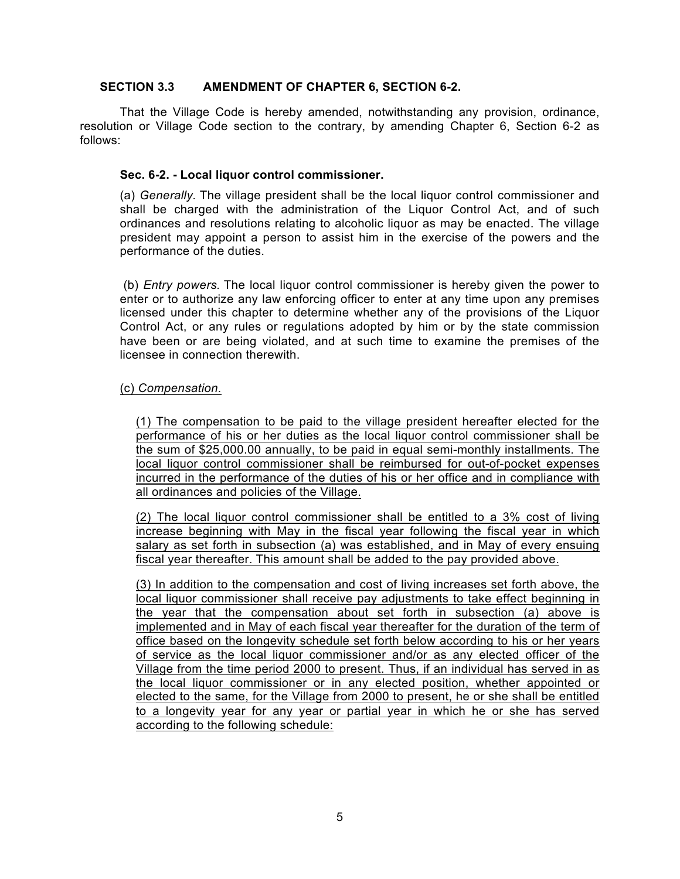### **SECTION 3.3 AMENDMENT OF CHAPTER 6, SECTION 6-2.**

That the Village Code is hereby amended, notwithstanding any provision, ordinance, resolution or Village Code section to the contrary, by amending Chapter 6, Section 6-2 as follows:

### **Sec. 6-2. - Local liquor control commissioner.**

(a) *Generally.* The village president shall be the local liquor control commissioner and shall be charged with the administration of the Liquor Control Act, and of such ordinances and resolutions relating to alcoholic liquor as may be enacted. The village president may appoint a person to assist him in the exercise of the powers and the performance of the duties.

(b) *Entry powers.* The local liquor control commissioner is hereby given the power to enter or to authorize any law enforcing officer to enter at any time upon any premises licensed under this chapter to determine whether any of the provisions of the Liquor Control Act, or any rules or regulations adopted by him or by the state commission have been or are being violated, and at such time to examine the premises of the licensee in connection therewith.

### (c) *Compensation.*

(1) The compensation to be paid to the village president hereafter elected for the performance of his or her duties as the local liquor control commissioner shall be the sum of \$25,000.00 annually, to be paid in equal semi-monthly installments. The local liquor control commissioner shall be reimbursed for out-of-pocket expenses incurred in the performance of the duties of his or her office and in compliance with all ordinances and policies of the Village.

(2) The local liquor control commissioner shall be entitled to a 3% cost of living increase beginning with May in the fiscal year following the fiscal year in which salary as set forth in subsection (a) was established, and in May of every ensuing fiscal year thereafter. This amount shall be added to the pay provided above.

(3) In addition to the compensation and cost of living increases set forth above, the local liquor commissioner shall receive pay adjustments to take effect beginning in the year that the compensation about set forth in subsection (a) above is implemented and in May of each fiscal year thereafter for the duration of the term of office based on the longevity schedule set forth below according to his or her years of service as the local liquor commissioner and/or as any elected officer of the Village from the time period 2000 to present. Thus, if an individual has served in as the local liquor commissioner or in any elected position, whether appointed or elected to the same, for the Village from 2000 to present, he or she shall be entitled to a longevity year for any year or partial year in which he or she has served according to the following schedule: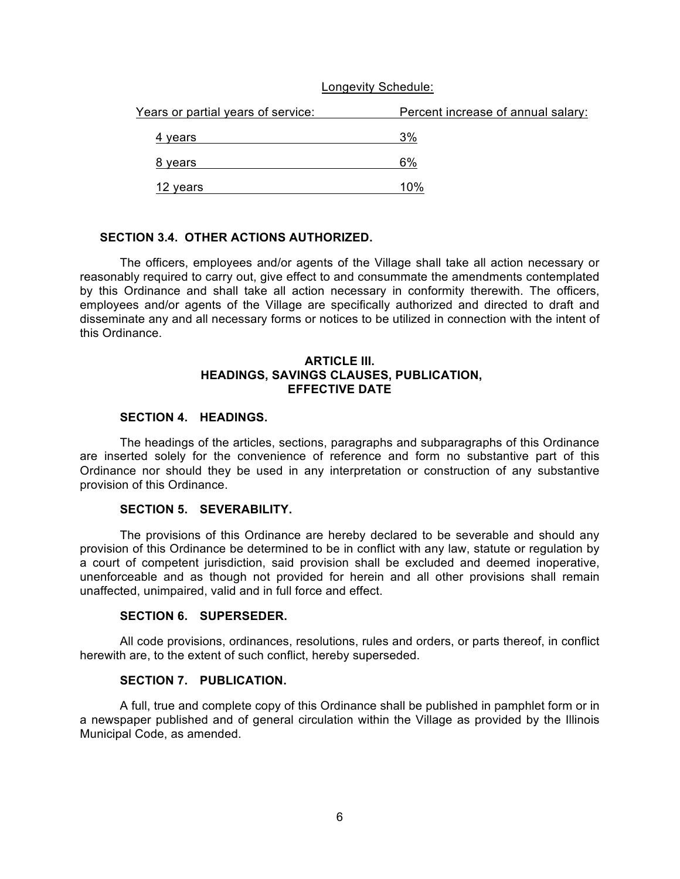#### Longevity Schedule:

| Years or partial years of service: | Percent increase of annual salary: |
|------------------------------------|------------------------------------|
| 4 years                            | 3%                                 |
| 8 years                            | 6%                                 |
| 12 years                           | 10%                                |

#### **SECTION 3.4. OTHER ACTIONS AUTHORIZED.**

The officers, employees and/or agents of the Village shall take all action necessary or reasonably required to carry out, give effect to and consummate the amendments contemplated by this Ordinance and shall take all action necessary in conformity therewith. The officers, employees and/or agents of the Village are specifically authorized and directed to draft and disseminate any and all necessary forms or notices to be utilized in connection with the intent of this Ordinance.

#### **ARTICLE III. HEADINGS, SAVINGS CLAUSES, PUBLICATION, EFFECTIVE DATE**

### **SECTION 4. HEADINGS.**

The headings of the articles, sections, paragraphs and subparagraphs of this Ordinance are inserted solely for the convenience of reference and form no substantive part of this Ordinance nor should they be used in any interpretation or construction of any substantive provision of this Ordinance.

### **SECTION 5. SEVERABILITY.**

The provisions of this Ordinance are hereby declared to be severable and should any provision of this Ordinance be determined to be in conflict with any law, statute or regulation by a court of competent jurisdiction, said provision shall be excluded and deemed inoperative, unenforceable and as though not provided for herein and all other provisions shall remain unaffected, unimpaired, valid and in full force and effect.

#### **SECTION 6. SUPERSEDER.**

All code provisions, ordinances, resolutions, rules and orders, or parts thereof, in conflict herewith are, to the extent of such conflict, hereby superseded.

#### **SECTION 7. PUBLICATION.**

A full, true and complete copy of this Ordinance shall be published in pamphlet form or in a newspaper published and of general circulation within the Village as provided by the Illinois Municipal Code, as amended.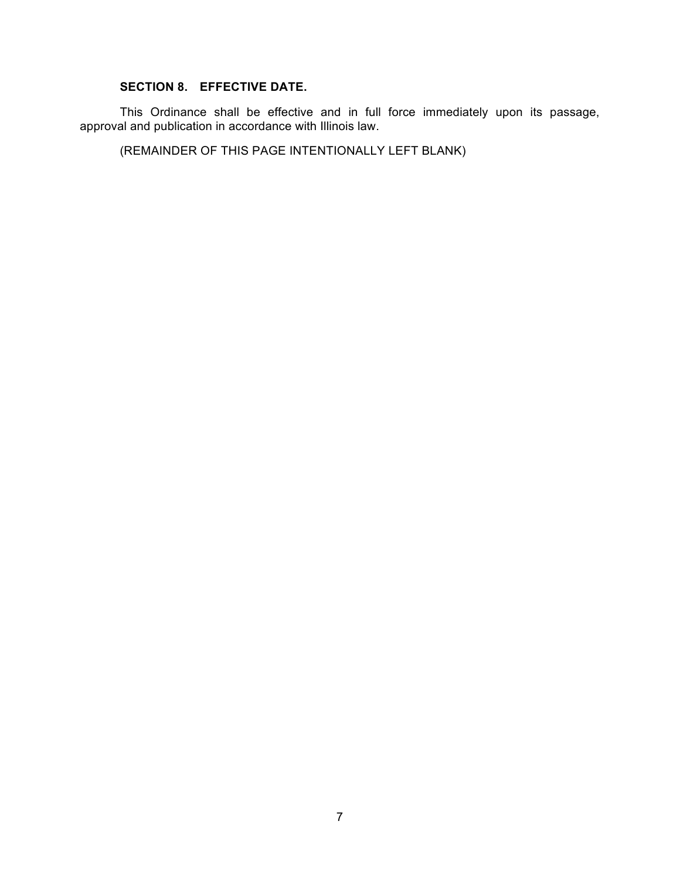## **SECTION 8. EFFECTIVE DATE.**

This Ordinance shall be effective and in full force immediately upon its passage, approval and publication in accordance with Illinois law.

(REMAINDER OF THIS PAGE INTENTIONALLY LEFT BLANK)